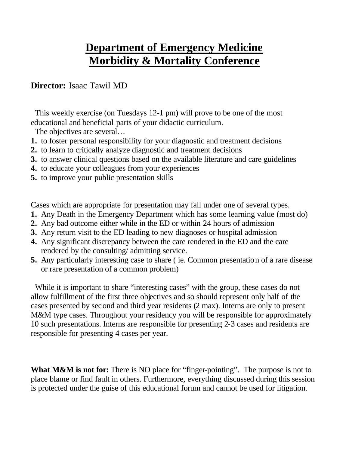## **Department of Emergency Medicine Morbidity & Mortality Conference**

## **Director:** Isaac Tawil MD

 This weekly exercise (on Tuesdays 12-1 pm) will prove to be one of the most educational and beneficial parts of your didactic curriculum.

The objectives are several…

- **1.** to foster personal responsibility for your diagnostic and treatment decisions
- **2.** to learn to critically analyze diagnostic and treatment decisions
- **3.** to answer clinical questions based on the available literature and care guidelines
- **4.** to educate your colleagues from your experiences
- **5.** to improve your public presentation skills

Cases which are appropriate for presentation may fall under one of several types.

- **1.** Any Death in the Emergency Department which has some learning value (most do)
- **2.** Any bad outcome either while in the ED or within 24 hours of admission
- **3.** Any return visit to the ED leading to new diagnoses or hospital admission
- **4.** Any significant discrepancy between the care rendered in the ED and the care rendered by the consulting/ admitting service.
- **5.** Any particularly interesting case to share ( ie. Common presentation of a rare disease or rare presentation of a common problem)

While it is important to share "interesting cases" with the group, these cases do not allow fulfillment of the first three objectives and so should represent only half of the cases presented by second and third year residents (2 max). Interns are only to present M&M type cases. Throughout your residency you will be responsible for approximately 10 such presentations. Interns are responsible for presenting 2-3 cases and residents are responsible for presenting 4 cases per year.

**What M&M is not for:** There is NO place for "finger-pointing". The purpose is not to place blame or find fault in others. Furthermore, everything discussed during this session is protected under the guise of this educational forum and cannot be used for litigation.